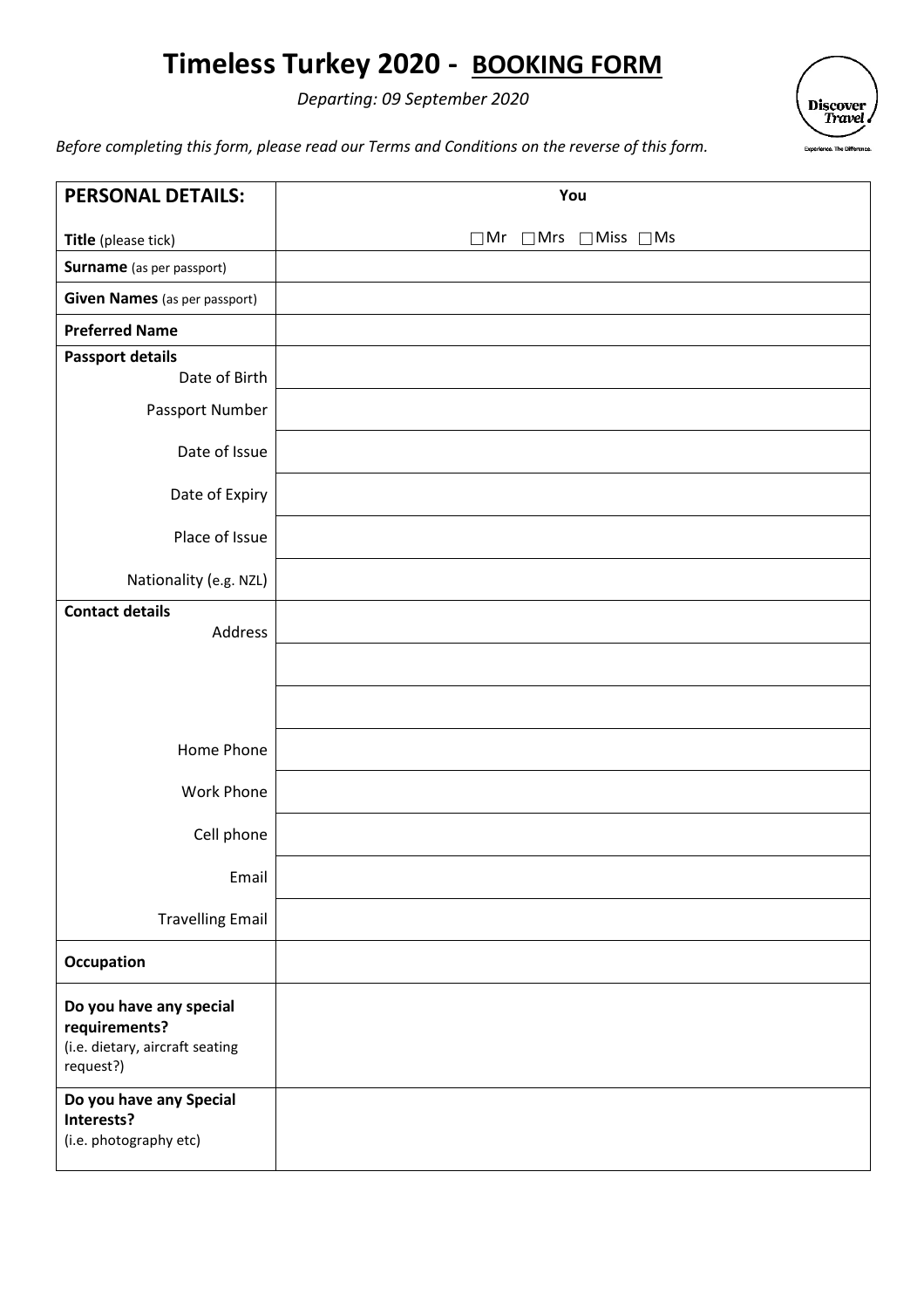# **Timeless Turkey 2020 - BOOKING FORM**

*Departing: 09 September 2020* 



*Before completing this form, please read our Terms and Conditions on the reverse of this form.* 

| <b>PERSONAL DETAILS:</b>                                                                 | You                                              |
|------------------------------------------------------------------------------------------|--------------------------------------------------|
| Title (please tick)                                                                      | $\Box$ Mrs $\Box$ Miss $\Box$ Ms<br>$\square$ Mr |
| Surname (as per passport)                                                                |                                                  |
| <b>Given Names</b> (as per passport)                                                     |                                                  |
| <b>Preferred Name</b>                                                                    |                                                  |
| <b>Passport details</b><br>Date of Birth                                                 |                                                  |
| Passport Number                                                                          |                                                  |
| Date of Issue                                                                            |                                                  |
| Date of Expiry                                                                           |                                                  |
| Place of Issue                                                                           |                                                  |
| Nationality (e.g. NZL)                                                                   |                                                  |
| <b>Contact details</b><br>Address                                                        |                                                  |
|                                                                                          |                                                  |
|                                                                                          |                                                  |
|                                                                                          |                                                  |
| Home Phone                                                                               |                                                  |
| Work Phone                                                                               |                                                  |
| Cell phone                                                                               |                                                  |
| Email                                                                                    |                                                  |
| <b>Travelling Email</b>                                                                  |                                                  |
| Occupation                                                                               |                                                  |
| Do you have any special<br>requirements?<br>(i.e. dietary, aircraft seating<br>request?) |                                                  |
| Do you have any Special<br>Interests?<br>(i.e. photography etc)                          |                                                  |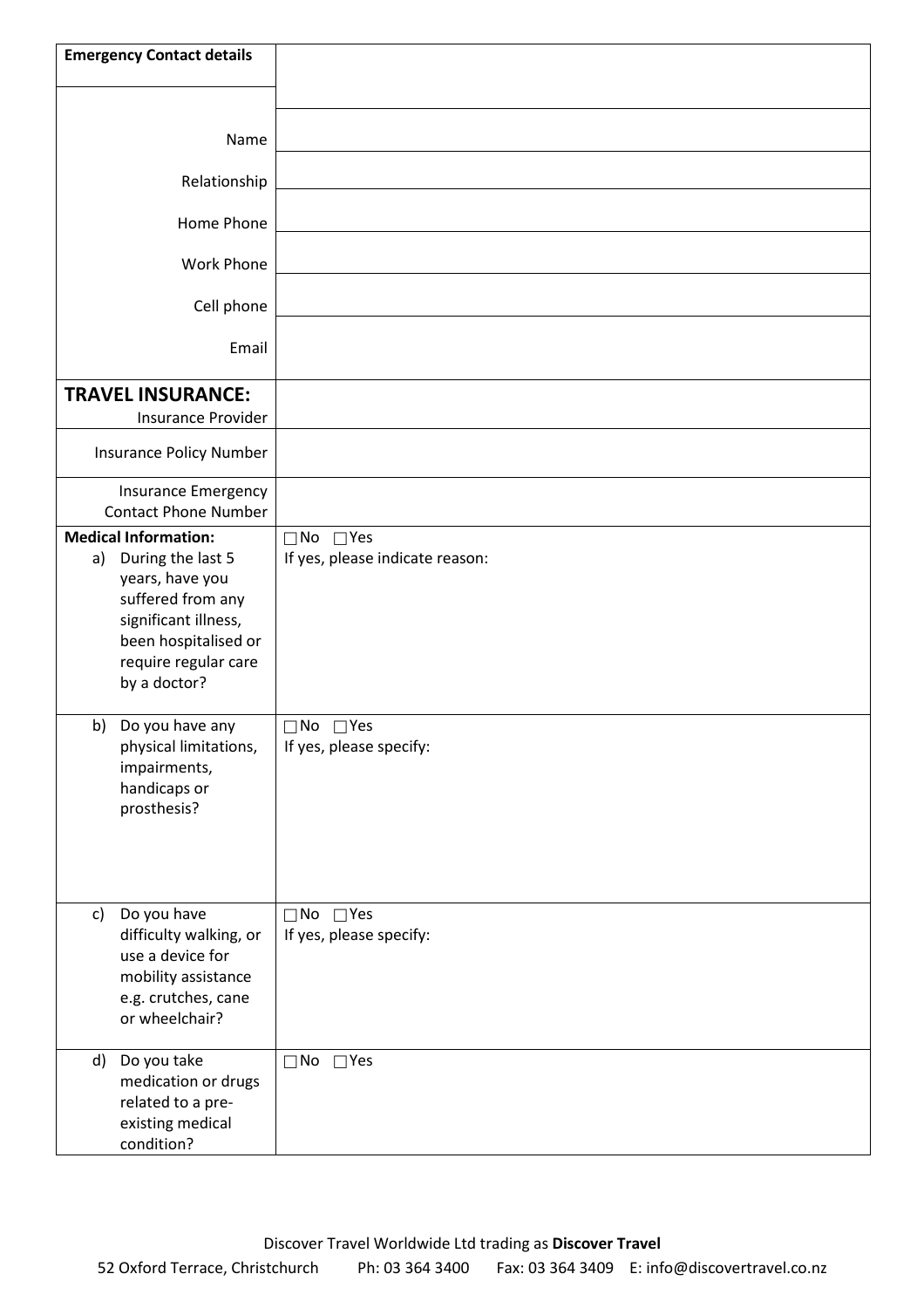| <b>Emergency Contact details</b>                                                                                                                                                       |                                                         |
|----------------------------------------------------------------------------------------------------------------------------------------------------------------------------------------|---------------------------------------------------------|
| Name                                                                                                                                                                                   |                                                         |
| Relationship                                                                                                                                                                           |                                                         |
| Home Phone                                                                                                                                                                             |                                                         |
| <b>Work Phone</b>                                                                                                                                                                      |                                                         |
| Cell phone                                                                                                                                                                             |                                                         |
| Email                                                                                                                                                                                  |                                                         |
| <b>TRAVEL INSURANCE:</b>                                                                                                                                                               |                                                         |
| <b>Insurance Provider</b><br>Insurance Policy Number                                                                                                                                   |                                                         |
| <b>Insurance Emergency</b>                                                                                                                                                             |                                                         |
| <b>Contact Phone Number</b>                                                                                                                                                            |                                                         |
| <b>Medical Information:</b><br>During the last 5<br>a)<br>years, have you<br>suffered from any<br>significant illness,<br>been hospitalised or<br>require regular care<br>by a doctor? | $\Box$ No $\Box$ Yes<br>If yes, please indicate reason: |
| b)<br>Do you have any<br>physical limitations,<br>impairments,<br>handicaps or<br>prosthesis?                                                                                          | $\Box$ No $\Box$ Yes<br>If yes, please specify:         |
| Do you have<br>c)<br>difficulty walking, or<br>use a device for<br>mobility assistance<br>e.g. crutches, cane<br>or wheelchair?                                                        | $\Box$ No $\Box$ Yes<br>If yes, please specify:         |
| Do you take<br>d)<br>medication or drugs<br>related to a pre-<br>existing medical<br>condition?                                                                                        | $\Box$ No<br>$\square$ Yes                              |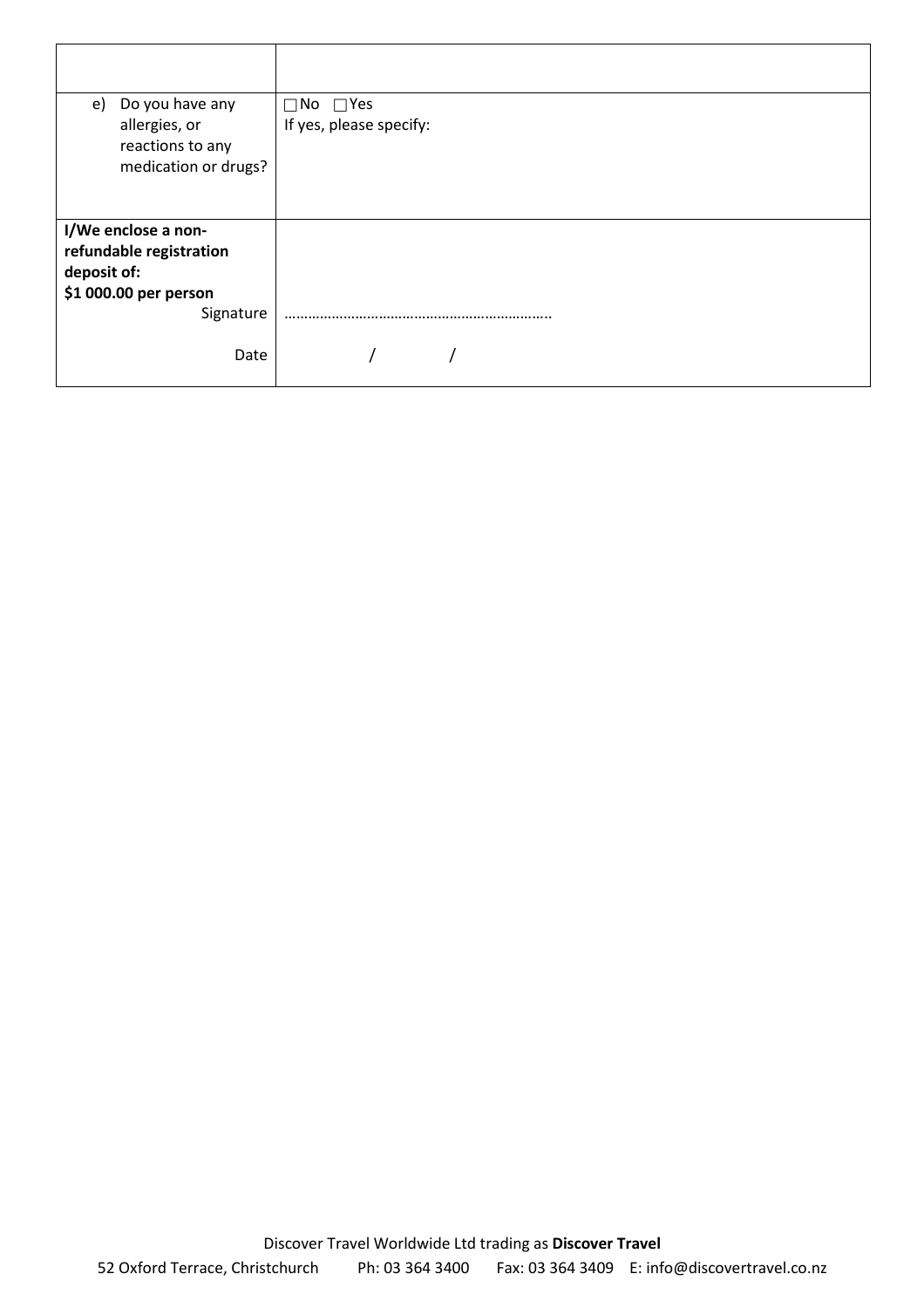| Do you have any<br>e)<br>allergies, or<br>reactions to any<br>medication or drugs?                  | $\Box$ No $\Box$ Yes<br>If yes, please specify: |
|-----------------------------------------------------------------------------------------------------|-------------------------------------------------|
| I/We enclose a non-<br>refundable registration<br>deposit of:<br>\$1 000.00 per person<br>Signature |                                                 |
| Date                                                                                                |                                                 |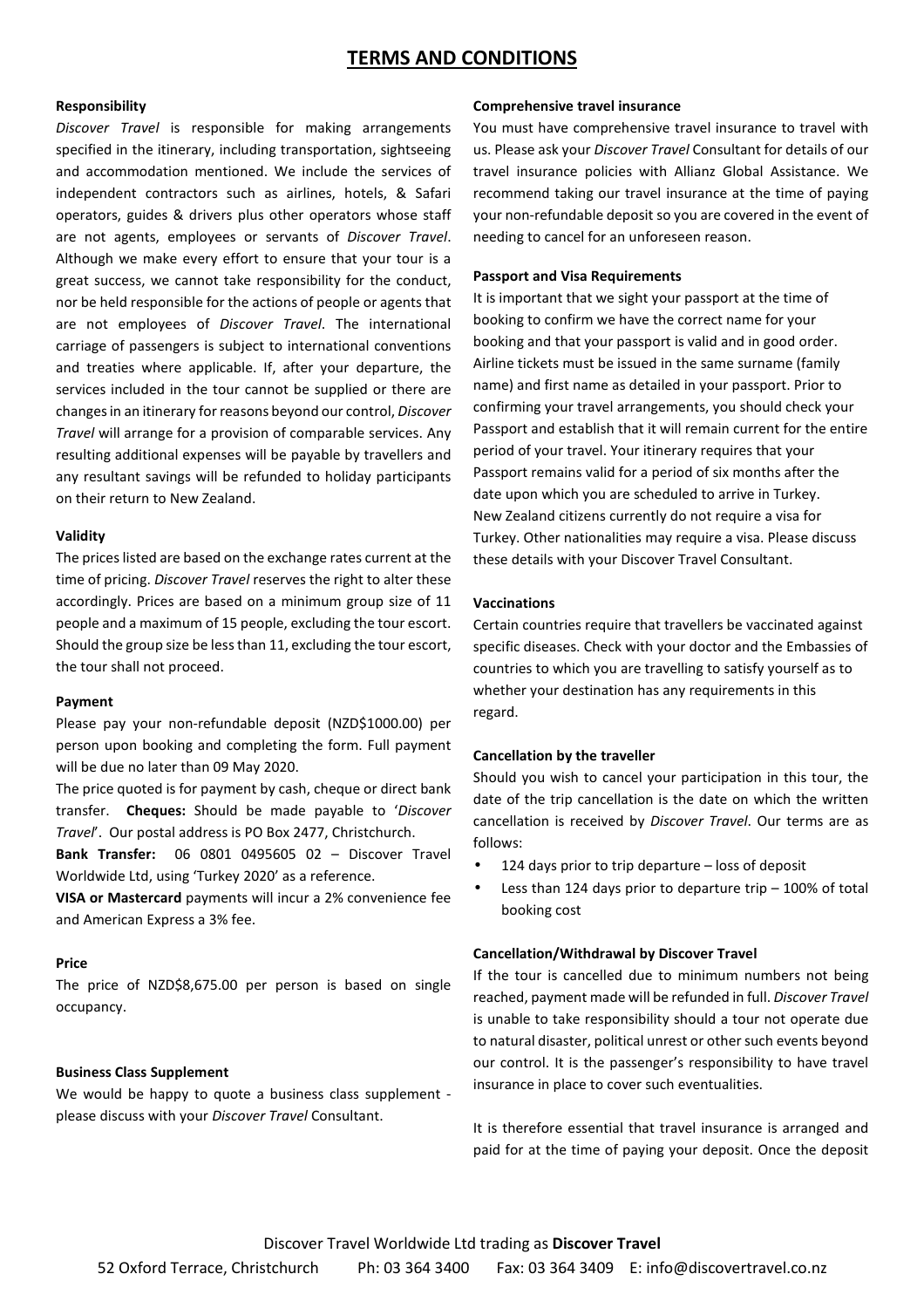## **TERMS AND CONDITIONS**

#### **Responsibility**

*Discover Travel* is responsible for making arrangements specified in the itinerary, including transportation, sightseeing and accommodation mentioned. We include the services of independent contractors such as airlines, hotels, & Safari operators, guides & drivers plus other operators whose staff are not agents, employees or servants of *Discover Travel*. Although we make every effort to ensure that your tour is a great success, we cannot take responsibility for the conduct, nor be held responsible for the actions of people or agents that are not employees of *Discover Travel*. The international carriage of passengers is subject to international conventions and treaties where applicable. If, after your departure, the services included in the tour cannot be supplied or there are changes in an itinerary for reasons beyond our control, *Discover Travel* will arrange for a provision of comparable services. Any resulting additional expenses will be payable by travellers and any resultant savings will be refunded to holiday participants on their return to New Zealand.

#### **Validity**

The prices listed are based on the exchange rates current at the time of pricing. *Discover Travel* reserves the right to alter these accordingly. Prices are based on a minimum group size of 11 people and a maximum of 15 people, excluding the tour escort. Should the group size be less than 11, excluding the tour escort, the tour shall not proceed.

#### **Payment**

Please pay your non-refundable deposit (NZD\$1000.00) per person upon booking and completing the form. Full payment will be due no later than 09 May 2020.

The price quoted is for payment by cash, cheque or direct bank transfer. **Cheques:** Should be made payable to '*Discover Travel*'. Our postal address is PO Box 2477, Christchurch.

**Bank Transfer:** 06 0801 0495605 02 – Discover Travel Worldwide Ltd, using 'Turkey 2020' as a reference.

**VISA or Mastercard** payments will incur a 2% convenience fee and American Express a 3% fee.

#### **Price**

The price of NZD\$8,675.00 per person is based on single occupancy.

## **Business Class Supplement**

We would be happy to quote a business class supplement please discuss with your *Discover Travel* Consultant.

#### **Comprehensive travel insurance**

You must have comprehensive travel insurance to travel with us. Please ask your *Discover Travel* Consultant for details of our travel insurance policies with Allianz Global Assistance. We recommend taking our travel insurance at the time of paying your non-refundable deposit so you are covered in the event of needing to cancel for an unforeseen reason.

#### **Passport and Visa Requirements**

It is important that we sight your passport at the time of booking to confirm we have the correct name for your booking and that your passport is valid and in good order. Airline tickets must be issued in the same surname (family name) and first name as detailed in your passport. Prior to confirming your travel arrangements, you should check your Passport and establish that it will remain current for the entire period of your travel. Your itinerary requires that your Passport remains valid for a period of six months after the date upon which you are scheduled to arrive in Turkey. New Zealand citizens currently do not require a visa for Turkey. Other nationalities may require a visa. Please discuss these details with your Discover Travel Consultant.

## **Vaccinations**

Certain countries require that travellers be vaccinated against specific diseases. Check with your doctor and the Embassies of countries to which you are travelling to satisfy yourself as to whether your destination has any requirements in this regard.

#### **Cancellation by the traveller**

Should you wish to cancel your participation in this tour, the date of the trip cancellation is the date on which the written cancellation is received by *Discover Travel*. Our terms are as follows:

- 124 days prior to trip departure loss of deposit
- Less than 124 days prior to departure trip  $-100\%$  of total booking cost

#### **Cancellation/Withdrawal by Discover Travel**

If the tour is cancelled due to minimum numbers not being reached, payment made will be refunded in full. *Discover Travel* is unable to take responsibility should a tour not operate due to natural disaster, political unrest or other such events beyond our control. It is the passenger's responsibility to have travel insurance in place to cover such eventualities.

It is therefore essential that travel insurance is arranged and paid for at the time of paying your deposit. Once the deposit